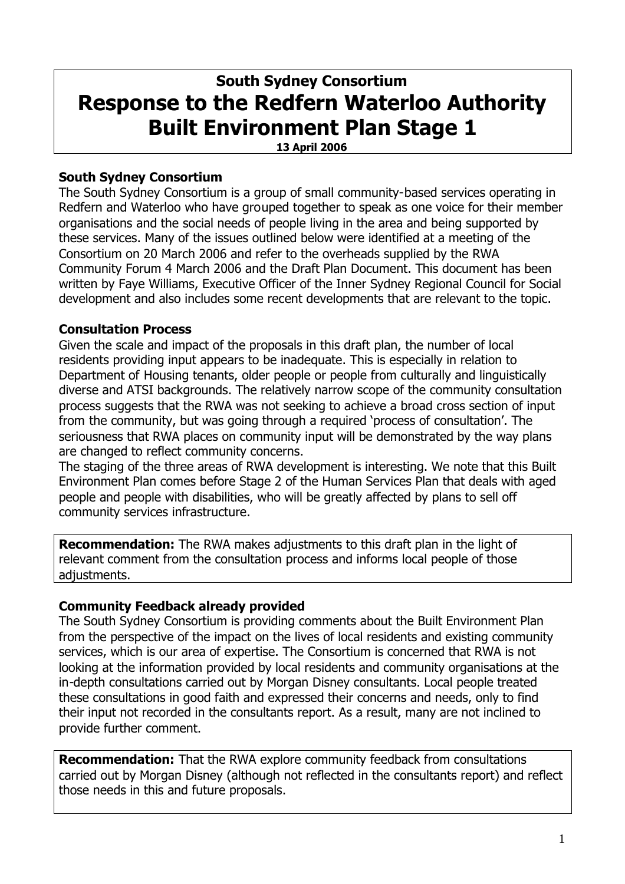# **South Sydney Consortium Response to the Redfern Waterloo Authority Built Environment Plan Stage 1**

**13 April 2006**

# **South Sydney Consortium**

The South Sydney Consortium is a group of small community-based services operating in Redfern and Waterloo who have grouped together to speak as one voice for their member organisations and the social needs of people living in the area and being supported by these services. Many of the issues outlined below were identified at a meeting of the Consortium on 20 March 2006 and refer to the overheads supplied by the RWA Community Forum 4 March 2006 and the Draft Plan Document. This document has been written by Faye Williams, Executive Officer of the Inner Sydney Regional Council for Social development and also includes some recent developments that are relevant to the topic.

# **Consultation Process**

Given the scale and impact of the proposals in this draft plan, the number of local residents providing input appears to be inadequate. This is especially in relation to Department of Housing tenants, older people or people from culturally and linguistically diverse and ATSI backgrounds. The relatively narrow scope of the community consultation process suggests that the RWA was not seeking to achieve a broad cross section of input from the community, but was going through a required 'process of consultation'. The seriousness that RWA places on community input will be demonstrated by the way plans are changed to reflect community concerns.

The staging of the three areas of RWA development is interesting. We note that this Built Environment Plan comes before Stage 2 of the Human Services Plan that deals with aged people and people with disabilities, who will be greatly affected by plans to sell off community services infrastructure.

**Recommendation:** The RWA makes adjustments to this draft plan in the light of relevant comment from the consultation process and informs local people of those adjustments.

# **Community Feedback already provided**

The South Sydney Consortium is providing comments about the Built Environment Plan from the perspective of the impact on the lives of local residents and existing community services, which is our area of expertise. The Consortium is concerned that RWA is not looking at the information provided by local residents and community organisations at the in-depth consultations carried out by Morgan Disney consultants. Local people treated these consultations in good faith and expressed their concerns and needs, only to find their input not recorded in the consultants report. As a result, many are not inclined to provide further comment.

**Recommendation:** That the RWA explore community feedback from consultations carried out by Morgan Disney (although not reflected in the consultants report) and reflect those needs in this and future proposals.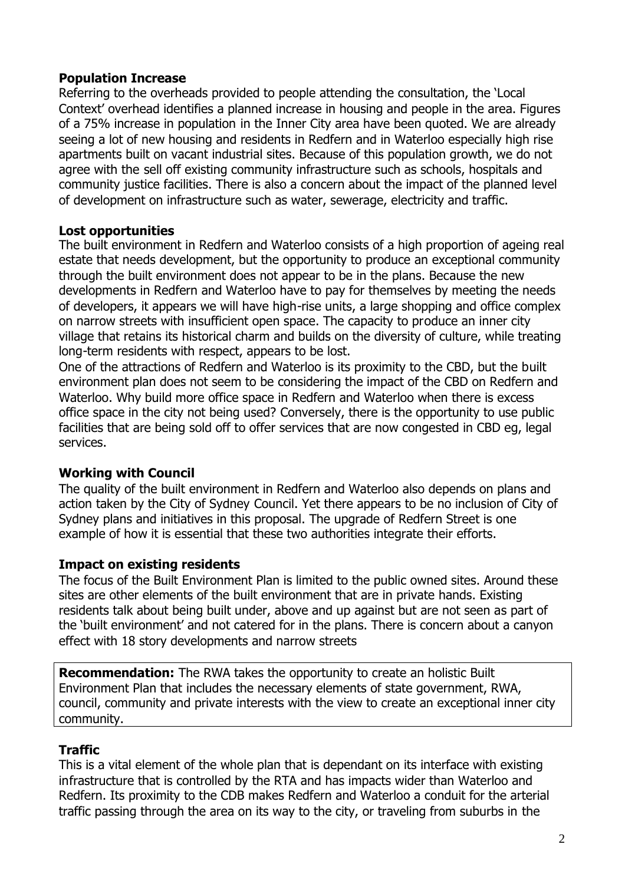## **Population Increase**

Referring to the overheads provided to people attending the consultation, the 'Local Context' overhead identifies a planned increase in housing and people in the area. Figures of a 75% increase in population in the Inner City area have been quoted. We are already seeing a lot of new housing and residents in Redfern and in Waterloo especially high rise apartments built on vacant industrial sites. Because of this population growth, we do not agree with the sell off existing community infrastructure such as schools, hospitals and community justice facilities. There is also a concern about the impact of the planned level of development on infrastructure such as water, sewerage, electricity and traffic.

# **Lost opportunities**

The built environment in Redfern and Waterloo consists of a high proportion of ageing real estate that needs development, but the opportunity to produce an exceptional community through the built environment does not appear to be in the plans. Because the new developments in Redfern and Waterloo have to pay for themselves by meeting the needs of developers, it appears we will have high-rise units, a large shopping and office complex on narrow streets with insufficient open space. The capacity to produce an inner city village that retains its historical charm and builds on the diversity of culture, while treating long-term residents with respect, appears to be lost.

One of the attractions of Redfern and Waterloo is its proximity to the CBD, but the built environment plan does not seem to be considering the impact of the CBD on Redfern and Waterloo. Why build more office space in Redfern and Waterloo when there is excess office space in the city not being used? Conversely, there is the opportunity to use public facilities that are being sold off to offer services that are now congested in CBD eg, legal services.

# **Working with Council**

The quality of the built environment in Redfern and Waterloo also depends on plans and action taken by the City of Sydney Council. Yet there appears to be no inclusion of City of Sydney plans and initiatives in this proposal. The upgrade of Redfern Street is one example of how it is essential that these two authorities integrate their efforts.

# **Impact on existing residents**

The focus of the Built Environment Plan is limited to the public owned sites. Around these sites are other elements of the built environment that are in private hands. Existing residents talk about being built under, above and up against but are not seen as part of the 'built environment' and not catered for in the plans. There is concern about a canyon effect with 18 story developments and narrow streets

**Recommendation:** The RWA takes the opportunity to create an holistic Built Environment Plan that includes the necessary elements of state government, RWA, council, community and private interests with the view to create an exceptional inner city community.

# **Traffic**

This is a vital element of the whole plan that is dependant on its interface with existing infrastructure that is controlled by the RTA and has impacts wider than Waterloo and Redfern. Its proximity to the CDB makes Redfern and Waterloo a conduit for the arterial traffic passing through the area on its way to the city, or traveling from suburbs in the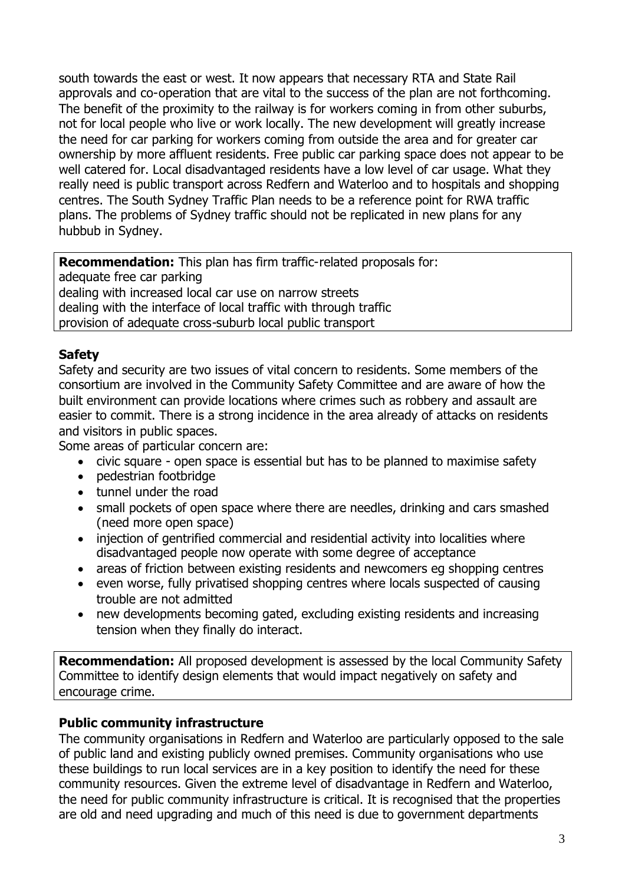south towards the east or west. It now appears that necessary RTA and State Rail approvals and co-operation that are vital to the success of the plan are not forthcoming. The benefit of the proximity to the railway is for workers coming in from other suburbs, not for local people who live or work locally. The new development will greatly increase the need for car parking for workers coming from outside the area and for greater car ownership by more affluent residents. Free public car parking space does not appear to be well catered for. Local disadvantaged residents have a low level of car usage. What they really need is public transport across Redfern and Waterloo and to hospitals and shopping centres. The South Sydney Traffic Plan needs to be a reference point for RWA traffic plans. The problems of Sydney traffic should not be replicated in new plans for any hubbub in Sydney.

**Recommendation:** This plan has firm traffic-related proposals for: adequate free car parking dealing with increased local car use on narrow streets dealing with the interface of local traffic with through traffic provision of adequate cross-suburb local public transport

## **Safety**

Safety and security are two issues of vital concern to residents. Some members of the consortium are involved in the Community Safety Committee and are aware of how the built environment can provide locations where crimes such as robbery and assault are easier to commit. There is a strong incidence in the area already of attacks on residents and visitors in public spaces.

Some areas of particular concern are:

- civic square open space is essential but has to be planned to maximise safety
- pedestrian footbridge
- tunnel under the road
- small pockets of open space where there are needles, drinking and cars smashed (need more open space)
- injection of gentrified commercial and residential activity into localities where disadvantaged people now operate with some degree of acceptance
- areas of friction between existing residents and newcomers eg shopping centres
- even worse, fully privatised shopping centres where locals suspected of causing trouble are not admitted
- new developments becoming gated, excluding existing residents and increasing tension when they finally do interact.

**Recommendation:** All proposed development is assessed by the local Community Safety Committee to identify design elements that would impact negatively on safety and encourage crime.

#### **Public community infrastructure**

The community organisations in Redfern and Waterloo are particularly opposed to the sale of public land and existing publicly owned premises. Community organisations who use these buildings to run local services are in a key position to identify the need for these community resources. Given the extreme level of disadvantage in Redfern and Waterloo, the need for public community infrastructure is critical. It is recognised that the properties are old and need upgrading and much of this need is due to government departments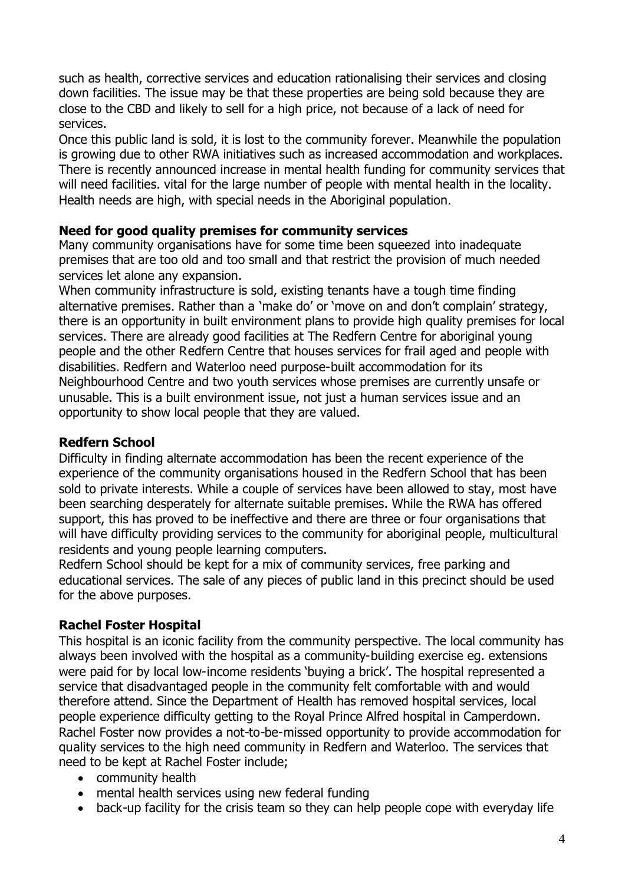such as health, corrective services and education rationalising their services and closing down facilities. The issue may be that these properties are being sold because they are close to the CBD and likely to sell for a high price, not because of a lack of need for services.

Once this public land is sold, it is lost to the community forever. Meanwhile the population is growing due to other RWA initiatives such as increased accommodation and workplaces. There is recently announced increase in mental health funding for community services that will need facilities. vital for the large number of people with mental health in the locality. Health needs are high, with special needs in the Aboriginal population.

## **Need for good quality premises for community services**

Many community organisations have for some time been squeezed into inadequate premises that are too old and too small and that restrict the provision of much needed services let alone any expansion.

When community infrastructure is sold, existing tenants have a tough time finding alternative premises. Rather than a 'make do' or 'move on and don't complain' strategy, there is an opportunity in built environment plans to provide high quality premises for local services. There are already good facilities at The Redfern Centre for aboriginal young people and the other Redfern Centre that houses services for frail aged and people with disabilities. Redfern and Waterloo need purpose-built accommodation for its Neighbourhood Centre and two youth services whose premises are currently unsafe or unusable. This is a built environment issue, not just a human services issue and an opportunity to show local people that they are valued.

# **Redfern School**

Difficulty in finding alternate accommodation has been the recent experience of the experience of the community organisations housed in the Redfern School that has been sold to private interests. While a couple of services have been allowed to stay, most have been searching desperately for alternate suitable premises. While the RWA has offered support, this has proved to be ineffective and there are three or four organisations that will have difficulty providing services to the community for aboriginal people, multicultural residents and young people learning computers.

Redfern School should be kept for a mix of community services, free parking and educational services. The sale of any pieces of public land in this precinct should be used for the above purposes.

# **Rachel Foster Hospital**

This hospital is an iconic facility from the community perspective. The local community has always been involved with the hospital as a community-building exercise eg. extensions were paid for by local low-income residents 'buying a brick'. The hospital represented a service that disadvantaged people in the community felt comfortable with and would therefore attend. Since the Department of Health has removed hospital services, local people experience difficulty getting to the Royal Prince Alfred hospital in Camperdown. Rachel Foster now provides a not-to-be-missed opportunity to provide accommodation for quality services to the high need community in Redfern and Waterloo. The services that need to be kept at Rachel Foster include;

- community health
- mental health services using new federal funding
- back-up facility for the crisis team so they can help people cope with everyday life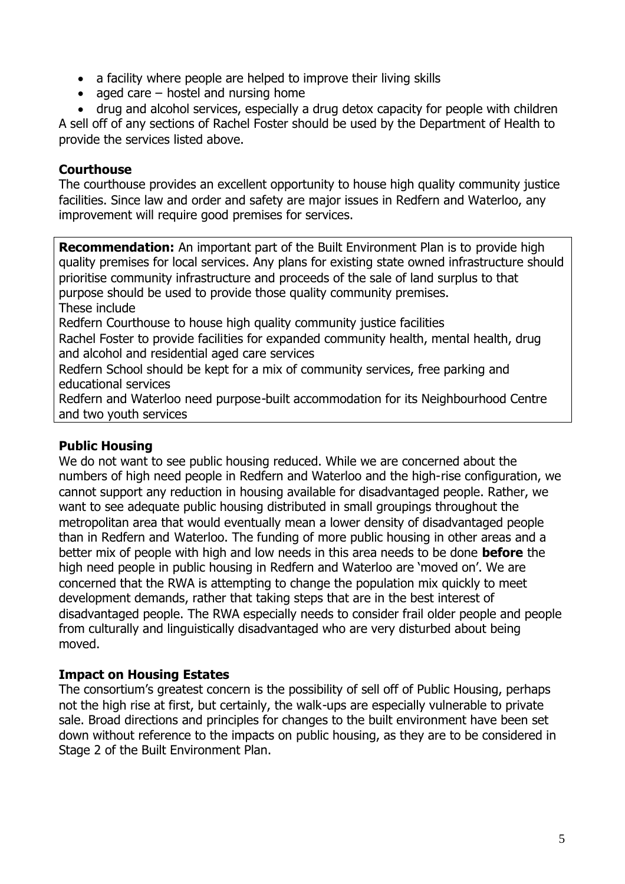- a facility where people are helped to improve their living skills
- aged care  $-$  hostel and nursing home
- drug and alcohol services, especially a drug detox capacity for people with children

A sell off of any sections of Rachel Foster should be used by the Department of Health to provide the services listed above.

## **Courthouse**

The courthouse provides an excellent opportunity to house high quality community justice facilities. Since law and order and safety are major issues in Redfern and Waterloo, any improvement will require good premises for services.

**Recommendation:** An important part of the Built Environment Plan is to provide high quality premises for local services. Any plans for existing state owned infrastructure should prioritise community infrastructure and proceeds of the sale of land surplus to that purpose should be used to provide those quality community premises. These include Redfern Courthouse to house high quality community justice facilities Rachel Foster to provide facilities for expanded community health, mental health, drug and alcohol and residential aged care services Redfern School should be kept for a mix of community services, free parking and educational services

Redfern and Waterloo need purpose-built accommodation for its Neighbourhood Centre and two youth services

# **Public Housing**

We do not want to see public housing reduced. While we are concerned about the numbers of high need people in Redfern and Waterloo and the high-rise configuration, we cannot support any reduction in housing available for disadvantaged people. Rather, we want to see adequate public housing distributed in small groupings throughout the metropolitan area that would eventually mean a lower density of disadvantaged people than in Redfern and Waterloo. The funding of more public housing in other areas and a better mix of people with high and low needs in this area needs to be done **before** the high need people in public housing in Redfern and Waterloo are 'moved on'. We are concerned that the RWA is attempting to change the population mix quickly to meet development demands, rather that taking steps that are in the best interest of disadvantaged people. The RWA especially needs to consider frail older people and people from culturally and linguistically disadvantaged who are very disturbed about being moved.

# **Impact on Housing Estates**

The consortium's greatest concern is the possibility of sell off of Public Housing, perhaps not the high rise at first, but certainly, the walk-ups are especially vulnerable to private sale. Broad directions and principles for changes to the built environment have been set down without reference to the impacts on public housing, as they are to be considered in Stage 2 of the Built Environment Plan.